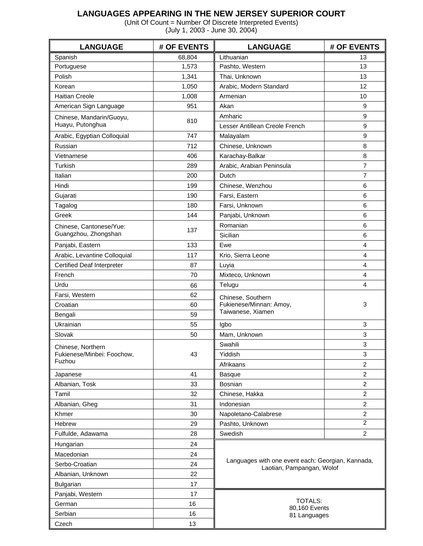## **LANGUAGES APPEARING IN THE NEW JERSEY SUPERIOR COURT**

(Unit Of Count = Number Of Discrete Interpreted Events) (July 1, 2003 - June 30, 2004)

| <b>LANGUAGE</b>                   | # OF EVENTS | <b>LANGUAGE</b><br># OF EVENTS                                                 |                  |  |  |  |  |  |
|-----------------------------------|-------------|--------------------------------------------------------------------------------|------------------|--|--|--|--|--|
| Spanish                           | 68,804      | Lithuanian                                                                     | 13               |  |  |  |  |  |
| Portuguese                        | 1,573       | Pashto, Western                                                                | 13               |  |  |  |  |  |
| Polish                            | 1,341       | Thai, Unknown                                                                  | 13               |  |  |  |  |  |
| Korean                            | 1,050       | Arabic, Modern Standard                                                        | 12               |  |  |  |  |  |
| <b>Haitian Creole</b>             | 1,008       | Armenian                                                                       | 10               |  |  |  |  |  |
| American Sign Language            | 951         | Akan                                                                           | $\boldsymbol{9}$ |  |  |  |  |  |
| Chinese, Mandarin/Guoyu,          | 810         | Amharic                                                                        | 9                |  |  |  |  |  |
| Huayu, Putonghua                  |             | Lesser Antillean Creole French                                                 | 9                |  |  |  |  |  |
| Arabic, Egyptian Colloquial       | 747         | Malayalam                                                                      | 9                |  |  |  |  |  |
| Russian                           | 712         | Chinese, Unknown                                                               | 8                |  |  |  |  |  |
| Vietnamese                        | 406         | Karachay-Balkar                                                                | 8                |  |  |  |  |  |
| Turkish                           | 289         | Arabic, Arabian Peninsula                                                      | $\overline{7}$   |  |  |  |  |  |
| Italian                           | 200         | Dutch                                                                          | $\overline{7}$   |  |  |  |  |  |
| Hindi                             | 199         | Chinese, Wenzhou                                                               | 6                |  |  |  |  |  |
| Gujarati                          | 190         | Farsi, Eastern                                                                 | 6                |  |  |  |  |  |
| Tagalog                           | 180         | Farsi, Unknown                                                                 | 6                |  |  |  |  |  |
| Greek                             | 144         | Panjabi, Unknown                                                               | 6                |  |  |  |  |  |
| Chinese, Cantonese/Yue:           |             | Romanian                                                                       | 6                |  |  |  |  |  |
| Guangzhou, Zhongshan              | 137         | Sicilian                                                                       | 6                |  |  |  |  |  |
| Panjabi, Eastern                  | 133         | Ewe                                                                            | 4                |  |  |  |  |  |
| Arabic, Levantine Colloquial      | 117         | Krio, Sierra Leone                                                             | 4                |  |  |  |  |  |
| <b>Certified Deaf Interpreter</b> | 87          | Luyia                                                                          | 4                |  |  |  |  |  |
| French                            | 70          | Mixteco, Unknown                                                               | 4                |  |  |  |  |  |
| Urdu                              | 66          | Telugu                                                                         | 4                |  |  |  |  |  |
| Farsi, Western                    | 62          | Chinese, Southern                                                              |                  |  |  |  |  |  |
| Croatian                          | 60          | Fukienese/Minnan: Amoy,                                                        | 3                |  |  |  |  |  |
| Bengali                           | 59          | Taiwanese, Xiamen                                                              |                  |  |  |  |  |  |
| Ukrainian                         | 55          | Igbo                                                                           | 3                |  |  |  |  |  |
| Slovak                            | 50          | Mam, Unknown                                                                   | 3                |  |  |  |  |  |
| Chinese, Northern                 |             | Swahili                                                                        | 3                |  |  |  |  |  |
| Fukienese/Minbei: Foochow,        | 43          | Yiddish                                                                        | 3                |  |  |  |  |  |
| Fuzhou                            |             | Afrikaans                                                                      | $\overline{2}$   |  |  |  |  |  |
| Japanese                          | 41          | <b>Basque</b>                                                                  | $\overline{c}$   |  |  |  |  |  |
| Albanian, Tosk                    | 33          | Bosnian                                                                        | $\overline{c}$   |  |  |  |  |  |
| Tamil                             | 32          | Chinese, Hakka                                                                 | $\overline{c}$   |  |  |  |  |  |
| Albanian, Gheg                    | 31          | Indonesian                                                                     | $\overline{2}$   |  |  |  |  |  |
| Khmer                             | 30          | Napoletano-Calabrese                                                           | $\overline{2}$   |  |  |  |  |  |
| Hebrew                            | 29          | Pashto, Unknown                                                                | $\overline{c}$   |  |  |  |  |  |
| Fulfulde, Adawama                 | 28          | Swedish                                                                        | $\overline{2}$   |  |  |  |  |  |
| Hungarian                         | 24          |                                                                                |                  |  |  |  |  |  |
| Macedonian                        | 24          |                                                                                |                  |  |  |  |  |  |
| Serbo-Croatian                    | 24          | Languages with one event each: Georgian, Kannada,<br>Laotian, Pampangan, Wolof |                  |  |  |  |  |  |
| Albanian, Unknown                 | 22          |                                                                                |                  |  |  |  |  |  |
| <b>Bulgarian</b>                  | 17          |                                                                                |                  |  |  |  |  |  |
| Panjabi, Western                  | 17          |                                                                                |                  |  |  |  |  |  |
| German                            | 16          | <b>TOTALS:</b>                                                                 |                  |  |  |  |  |  |
| Serbian                           | 16          | 80,160 Events<br>81 Languages                                                  |                  |  |  |  |  |  |
| Czech                             | 13          |                                                                                |                  |  |  |  |  |  |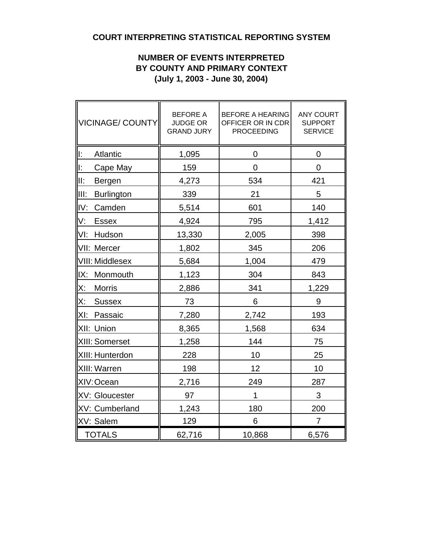# **COURT INTERPRETING STATISTICAL REPORTING SYSTEM**

## **NUMBER OF EVENTS INTERPRETED BY COUNTY AND PRIMARY CONTEXT (July 1, 2003 - June 30, 2004)**

| VICINAGE/ COUNTY           | <b>BEFORE A</b><br><b>JUDGE OR</b><br><b>GRAND JURY</b> | <b>BEFORE A HEARING</b><br>OFFICER OR IN CDR<br><b>PROCEEDING</b> | <b>ANY COURT</b><br><b>SUPPORT</b><br><b>SERVICE</b> |
|----------------------------|---------------------------------------------------------|-------------------------------------------------------------------|------------------------------------------------------|
| lı:<br>Atlantic            | 1,095                                                   | 0                                                                 | 0                                                    |
| lĿ.<br>Cape May            | 159                                                     | $\overline{0}$                                                    | 0                                                    |
| III:<br>Bergen             | 4,273                                                   | 534                                                               | 421                                                  |
| liit:<br><b>Burlington</b> | 339                                                     | 21                                                                | 5                                                    |
| IV:<br>Camden              | 5,514                                                   | 601                                                               | 140                                                  |
| V.<br><b>Essex</b>         | 4,924                                                   | 795                                                               | 1,412                                                |
| VI:<br>Hudson              | 13,330                                                  | 2,005                                                             | 398                                                  |
| VII: Mercer                | 1,802                                                   | 345                                                               | 206                                                  |
| VIII: Middlesex            | 5,684                                                   | 1,004                                                             | 479                                                  |
| IX:<br>Monmouth            | 1,123                                                   | 304                                                               | 843                                                  |
| X:<br><b>Morris</b>        | 2,886                                                   | 341                                                               | 1,229                                                |
| X:<br><b>Sussex</b>        | 73                                                      | 6                                                                 | 9                                                    |
| Passaic<br>XI:             | 7,280                                                   | 2,742                                                             | 193                                                  |
| XII: Union                 | 8,365                                                   | 1,568                                                             | 634                                                  |
| XIII: Somerset             | 1,258                                                   | 144                                                               | 75                                                   |
| XIII: Hunterdon            | 228                                                     | 10                                                                | 25                                                   |
| XIII: Warren               | 198                                                     | 12                                                                | 10                                                   |
| XIV: Ocean                 | 2,716                                                   | 249                                                               | 287                                                  |
| XV: Gloucester             | 97                                                      | 1                                                                 | 3                                                    |
| XV: Cumberland             | 1,243                                                   | 180                                                               | 200                                                  |
| XV: Salem                  | 129                                                     | 6                                                                 | $\overline{7}$                                       |
| TOTALS                     | 62,716                                                  | 10,868                                                            | 6,576                                                |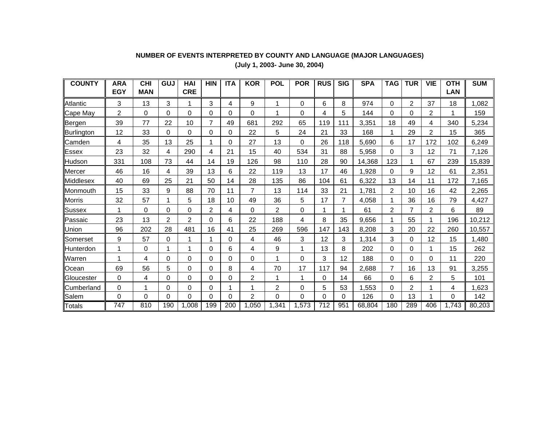#### **COUNTY ARA EGYCHI MANGUJ HAI CREHIN ITA KOR POL POR RUS SIG SPA TAG TUR VIE OTH LANSUM**Atlanticc || 3 | 13 | 3 | 1 | 3 | 4 | 9 | 1 | 0 | 6 | 8 | 974 | 0 | 2 | 37 | 18 || 1,082 Cape May || 2 | 0 | 0 | 0 | 0 | 0 | 0 | 1 | 0 | 4 | 5 | 144 | 0 | 0 | 2 | 1 || 159 Bergen || 39 | 77 | 22 | 10 | 7 | 49 | 681 | 292 | 65 | 119| 111| 3,351 | 18 | 49 | 4 | 340 || 5,234 Burlington || 12 | 33 | 0 | 0 | 0 | 0 | 22 | 5 | 24 | 21 | 33 | 168 | 1 | 29 | 2 | 15 || 365 Camden || 4 | 35 | 13 | 25 | 1 | 0 | 27 | 13 | 0 | 26 | 118 | 5,690 | 6 | 17 | 172 | 102 || 6,249 Essex 23 32 4 290 4 21 15 40 534 31 88 5,958 0 3 12 71 7,126 Hudson 331 108 73 44 14 19 126 98 110 28 90 14,368 123 1 67 239 15,839 Mercer || 46 | 16 | 4 | 39 | 13 | 6 | 22 | 119 | 13 | 17 | 46 | 1,928 | 0 | 9 | 12 | 61 || 2,351 Middlesex || 40 | 69 | 25 | 21 | 50 | 14 | 28 | 135 | 86 |104 | 61 | 6,322 | 13 | 14 | 11 | 172 || 7,165 Monmouth || 15 | 33 | 9 | 88 | 70 | 11 | 7 | 13 | 114 | 33 | 21 | 1,781 | 2 | 10 | 16 | 42 || 2,265 Morris || 32 | 57 | 1 | 5 | 18 | 10 | 49 | 36 | 5 | 17 | 7 | 4,058 | 1 | 36 | 16 | 79 || 4,427 Sussex = || 1 || 0 || 0 || 0 || 2 || 4 || 0 || 1 || 2 || 1 || 1 || 61 || 2 || 7 || 2 || 6 ||| 89 Passaic 23 13 2 2 0 6 22 188 4 8 35 9,656 1 55 1 196 10,212 Union || 96 | 202 | 28 | 481 | 16 | 41 | 25 | 269 | 596 | 147 | 143 | 8,208 | 3 | 20 | 22 | 260 || 10,557 Somersett || 9 | 57 | 0 | 1 | 1 | 0 | 4 | 46 | 3 |12 | 3 |1,314 | 3 | 0 | 12 | 15 || 1,480 Hunterdon || 1 | 0 | 1 | 1 | 0 | 6 | 4 | 9 | 1 | 13 | 8 | 202 | 0 | 0 | 1 | 15 || 262 Warren || 1 | 4 | 0 | 0 | 0 | 0 | 0 | 1 | 0 | 3 | 12 | 188 | 0 | 0 | 0 | 11 || 220 Ocean || 69 | 56 | 5 | 0 | 0 | 8 | 4 | 70 | 17 | 117 | 94 | 2,688 | 7 | 16 | 13 | 91 || 3,255 **Gloucester** r || 0 | 4 | 0 | 0 | 0 | 0 | 2 | 1 | 1 | 0 | 14 | 66 | 0 | 6 | 2 | 5 || 101 Cumberland || 0 | 1 | 0 | 0 | 0 | 1 | 1 | 2 | 0 | 5 | 53 | 1,553 | 0 | 2 | 1 | 4 || 1,623 Salem 0 0 0 0 0 0 2 0 0 0 0 126 0 13 1 0 142**Totals** 747 810 190 1,008 199 200 1,050 1,341 1,573 712 951 68,804 180 289 406 1,743 80,203

## **NUMBER OF EVENTS INTERPRETED BY COUNTY AND LANGUAGE (MAJOR LANGUAGES)**

**(July 1, 2003- June 30, 2004)**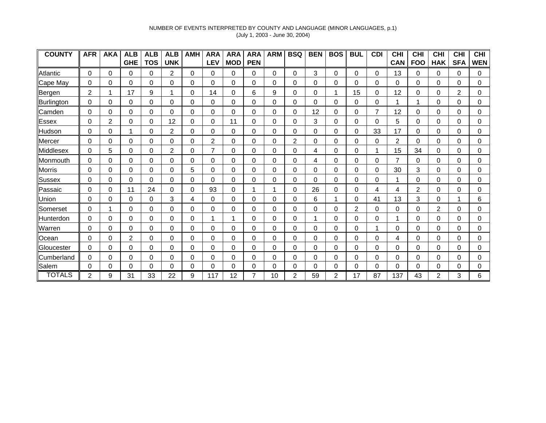## NUMBER OF EVENTS INTERPRETED BY COUNTY AND LANGUAGE (MINOR LANGUAGES, p.1) (July 1, 2003 - June 30, 2004)

| <b>COUNTY</b> | <b>AFR</b>     | <b>AKA</b> | <b>ALB</b> | <b>ALB</b> | <b>ALB</b>     | <b>AMH</b> | <b>ARA</b>     | <b>ARA</b>  | <b>ARA</b> | <b>ARM</b> | <b>BSQ</b>  | <b>BEN</b> | <b>BOS</b> | <b>BUL</b> | <b>CDI</b> | <b>CHI</b> | <b>CHI</b> | <b>CHI</b> | <b>CHI</b>     | CHI        |
|---------------|----------------|------------|------------|------------|----------------|------------|----------------|-------------|------------|------------|-------------|------------|------------|------------|------------|------------|------------|------------|----------------|------------|
|               |                |            | <b>GHE</b> | <b>TOS</b> | <b>UNK</b>     |            | <b>LEV</b>     | <b>MOD</b>  | <b>PEN</b> |            |             |            |            |            |            | <b>CAN</b> | <b>FOO</b> | <b>HAK</b> | <b>SFA</b>     | <b>WEN</b> |
| Atlantic      | 0              | 0          | $\Omega$   | 0          | $\overline{c}$ | 0          | $\Omega$       | 0           | $\Omega$   | $\Omega$   | 0           | 3          | $\Omega$   | 0          | $\Omega$   | 13         | $\Omega$   | 0          | $\Omega$       | 0          |
| Cape May      | 0              | 0          | $\Omega$   | $\Omega$   | 0              | 0          | $\Omega$       | 0           | 0          | $\Omega$   | $\Omega$    | 0          | $\Omega$   | 0          | 0          | $\Omega$   | $\Omega$   | 0          | $\Omega$       | 0          |
| Bergen        | $\overline{2}$ |            | 17         | 9          |                | $\Omega$   | 14             | $\mathbf 0$ | 6          | 9          | 0           | 0          |            | 15         | 0          | 12         | $\Omega$   | 0          | $\overline{2}$ | 0          |
| Burlington    | 0              | 0          | 0          | 0          | 0              | 0          | 0              | 0           | 0          | 0          | 0           | 0          | 0          | 0          | 0          |            |            | 0          | 0              | 0          |
| Camden        | 0              | 0          | 0          | 0          | 0              | 0          | 0              | 0           | $\Omega$   | $\Omega$   | 0           | 12         | 0          | 0          | 7          | 12         | $\Omega$   | 0          | 0              | 0          |
| <b>Essex</b>  | 0              | 2          | 0          | 0          | 12             | 0          | 0              | 11          | 0          | 0          | 0           | 3          | 0          | 0          | 0          | 5          | 0          | 0          | 0              | 0          |
| Hudson        | 0              | 0          |            | 0          | $\overline{2}$ | 0          | 0              | $\Omega$    | 0          | $\Omega$   | $\Omega$    | 0          | 0          | 0          | 33         | 17         | $\Omega$   | 0          | 0              | 0          |
| Mercer        | 0              | 0          | $\Omega$   | 0          | $\Omega$       | $\Omega$   | $\overline{2}$ | $\Omega$    | $\Omega$   | $\Omega$   | 2           | 0          | 0          | 0          | 0          | 2          | $\Omega$   | $\Omega$   | $\Omega$       | 0          |
| Middlesex     | 0              | 5          | 0          | 0          | $\overline{2}$ | 0          | $\overline{7}$ | 0           | 0          | $\Omega$   | 0           | 4          | 0          | 0          |            | 15         | 34         | 0          | 0              | 0          |
| Monmouth      | 0              | $\Omega$   | $\Omega$   | 0          | $\mathbf 0$    | $\Omega$   | $\Omega$       | $\mathbf 0$ | $\Omega$   | $\Omega$   | $\mathbf 0$ | 4          | $\Omega$   | 0          | 0          |            | 0          | 0          | 0              | 0          |
| Morris        | 0              | 0          | 0          | 0          | 0              | 5          | 0              | 0           | 0          | 0          | 0           | 0          | 0          | 0          | 0          | 30         | 3          | 0          | 0              | 0          |
| <b>Sussex</b> | 0              | 0          | 0          | 0          | 0              | 0          | 0              | 0           | 0          | $\Omega$   | 0           | 0          | 0          | 0          | 0          |            | $\Omega$   | 0          | 0              | 0          |
| Passaic       | 0              | 0          | 11         | 24         | 0              | 0          | 93             | 0           |            |            | $\Omega$    | 26         | 0          | 0          | 4          | 4          | 2          | 0          | 0              | 0          |
| Union         | 0              | 0          | 0          | 0          | 3              | 4          | 0              | 0           | 0          | 0          | 0           | 6          |            | 0          | 41         | 13         | 3          | 0          |                | 6          |
| Somerset      | 0              | 1          | $\Omega$   | 0          | $\Omega$       | $\Omega$   | 0              | 0           | $\Omega$   | $\Omega$   | $\Omega$    | 0          | 0          | 2          | 0          | $\Omega$   | $\Omega$   | 2          | 0              | 0          |
| Hunterdon     | 0              | 0          | 0          | $\Omega$   | 0              | 0          |                | 1           | 0          | $\Omega$   | 0           |            | $\Omega$   | 0          | 0          |            | $\Omega$   | 0          | $\Omega$       | $\Omega$   |
| Warren        | 0              | 0          | $\Omega$   | 0          | 0              | 0          | 0              | 0           | $\Omega$   | 0          | 0           | 0          | 0          | 0          |            | 0          | $\Omega$   | 0          | $\Omega$       | 0          |
| Ocean         | 0              | 0          | 2          | 0          | 0              | 0          | 0              | 0           | 0          | 0          | 0           | 0          | 0          | 0          | 0          | 4          | $\Omega$   | 0          | 0              | 0          |
| Gloucester    | 0              | 0          | 0          | 0          | 0              | 0          | 0              | 0           | 0          | $\Omega$   | 0           | 0          | 0          | 0          | 0          | $\Omega$   | $\Omega$   | 0          | 0              | 0          |
| Cumberland    | 0              | 0          | $\Omega$   | 0          | 0              | $\Omega$   | 0              | 0           | 0          | $\Omega$   | 0           | 0          | 0          | 0          | 0          | $\Omega$   | 0          | 0          | 0              | 0          |
| Salem         | 0              | 0          | $\Omega$   | 0          | $\Omega$       | $\Omega$   | 0              | $\Omega$    | $\Omega$   | $\Omega$   | $\Omega$    | 0          | $\Omega$   | 0          | $\Omega$   | 0          | $\Omega$   | $\Omega$   | 0              | 0          |
| <b>TOTALS</b> | 2              | 9          | 31         | 33         | 22             | 9          | 117            | 12          |            | 10         | 2           | 59         | 2          | 17         | 87         | 137        | 43         | 2          | 3              |            |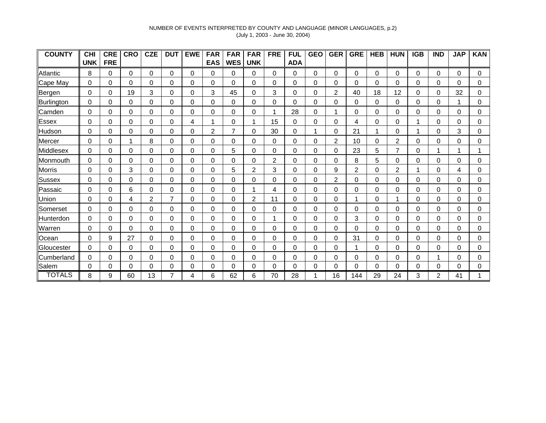## NUMBER OF EVENTS INTERPRETED BY COUNTY AND LANGUAGE (MINOR LANGUAGES, p.2) (July 1, 2003 - June 30, 2004)

| <b>COUNTY</b> | <b>CHI</b> | <b>CRE</b> | <b>CRO</b> | <b>CZE</b> | <b>DUT</b>     | <b>EWE</b> | <b>FAR</b> | <b>FAR</b>  | <b>FAR</b>     | <b>FRE</b>     | <b>FUL</b> | <b>GEO</b> | <b>GER</b>     | <b>GRE</b>     | <b>HEB</b> | <b>HUN</b> | <b>IGB</b> | <b>IND</b> | <b>JAP</b> | <b>KAN</b> |
|---------------|------------|------------|------------|------------|----------------|------------|------------|-------------|----------------|----------------|------------|------------|----------------|----------------|------------|------------|------------|------------|------------|------------|
|               | UNK        | <b>FRE</b> |            |            |                |            | <b>EAS</b> | <b>WES</b>  | <b>UNK</b>     |                | <b>ADA</b> |            |                |                |            |            |            |            |            |            |
| Atlantic      | 8          | 0          | $\Omega$   | $\Omega$   | 0              | 0          | 0          | 0           | 0              | $\Omega$       | 0          | $\Omega$   | $\Omega$       | 0              | $\Omega$   | $\Omega$   | $\Omega$   | $\Omega$   | $\Omega$   | $\Omega$   |
| Cape May      | 0          | 0          | 0          | $\Omega$   | 0              | 0          | 0          | $\Omega$    | $\Omega$       | 0              | 0          | 0          | $\Omega$       | $\Omega$       | 0          | 0          | $\Omega$   | 0          | 0          | 0          |
| Bergen        | 0          | 0          | 19         | 3          | 0              | 0          | 3          | 45          | 0              | 3              | 0          | 0          | $\overline{2}$ | 40             | 18         | 12         | 0          | 0          | 32         | 0          |
| Burlington    | 0          | 0          | 0          | 0          | 0              | 0          | 0          | 0           | 0              | 0              | 0          | 0          | 0              | 0              | 0          | 0          | 0          | 0          |            | 0          |
| Camden        | 0          | 0          | 0          | 0          | 0              | 0          | 0          | 0           | 0              |                | 28         | 0          |                | 0              | 0          | 0          | 0          | 0          | 0          | 0          |
| Essex         | 0          | 0          | 0          | 0          | 0              | 4          |            | 0           |                | 15             | 0          | 0          | 0              | 4              | 0          | 0          |            | 0          | 0          | 0          |
| Hudson        | 0          | 0          | 0          | 0          | 0              | 0          | 2          | 7           | 0              | 30             | 0          |            | 0              | 21             |            | 0          |            | 0          | 3          | $\Omega$   |
| Mercer        | 0          | 0          |            | 8          | 0              | 0          | 0          | 0           | 0              | 0              | 0          | 0          | 2              | 10             | 0          | 2          | $\Omega$   | 0          | 0          | 0          |
| Middlesex     | 0          | 0          | 0          | 0          | 0              | 0          | 0          | 5           | 0              | 0              | 0          | 0          | 0              | 23             | 5          | 7          | 0          | 1          |            |            |
| Monmouth      | 0          | 0          | 0          | 0          | 0              | 0          | 0          | 0           | 0              | $\overline{2}$ | 0          | 0          | 0              | 8              | 5          | 0          | 0          | 0          | 0          | 0          |
| <b>Morris</b> | 0          | 0          | 3          | 0          | 0              | 0          | 0          | 5           | $\overline{2}$ | 3              | 0          | 0          | 9              | $\overline{2}$ | 0          | 2          |            | 0          | 4          | 0          |
| Sussex        | 0          | 0          | 0          | 0          | 0              | 0          | 0          | 0           | 0              | 0              | 0          | 0          | 2              | $\Omega$       | 0          | 0          | $\Omega$   | 0          | 0          | 0          |
| Passaic       | 0          | 0          | 6          | 0          | 0              | 0          | 0          | 0           |                | 4              | 0          | 0          | 0              | 0              | 0          | 0          | 0          | 0          | 0          | 0          |
| Union         | 0          | 0          | 4          | 2          | $\overline{7}$ | 0          | 0          | 0           | 2              | 11             | 0          | 0          | 0              | 1              | 0          |            | 0          | 0          | 0          | $\Omega$   |
| Somerset      | 0          | 0          | 0          | 0          | 0              | 0          | 0          | 0           | $\Omega$       | 0              | 0          | 0          | 0              | 0              | 0          | $\Omega$   | $\Omega$   | 0          | 0          | 0          |
| Hunterdon     | 0          | 0          | 0          | 0          | 0              | 0          | 0          | $\mathbf 0$ | 0              |                | 0          | 0          | 0              | 3              | 0          | 0          | 0          | 0          | 0          | 0          |
| Warren        | 0          | 0          | 0          | 0          | 0              | 0          | 0          | 0           | 0              | 0              | 0          | 0          | 0              | 0              | 0          | 0          | 0          | 0          | 0          | 0          |
| Ocean         | 0          | 9          | 27         | 0          | 0              | 0          | 0          | 0           | 0              | 0              | 0          | 0          | 0              | 31             | 0          | 0          | 0          | 0          | 0          | 0          |
| Gloucester    | 0          | 0          | 0          | 0          | 0              | 0          | 0          | 0           | 0              | 0              | 0          | 0          | 0              | 1              | 0          | 0          | 0          | 0          | 0          | 0          |
| Cumberland    | 0          | 0          | 0          | 0          | 0              | 0          | 0          | 0           | 0              | 0              | 0          | 0          | 0              | 0              | 0          | 0          | 0          | 1          | 0          | 0          |
| Salem         | 0          | 0          | 0          | 0          | 0              | 0          | 0          | 0           | 0              | 0              | $\Omega$   | 0          | 0              | $\Omega$       | 0          | 0          | $\Omega$   | 0          | 0          | 0          |
| <b>TOTALS</b> | 8          | 9          | 60         | 13         |                | 4          | 6          | 62          | 6              | 70             | 28         |            | 16             | 144            | 29         | 24         | 3          | 2          | 41         |            |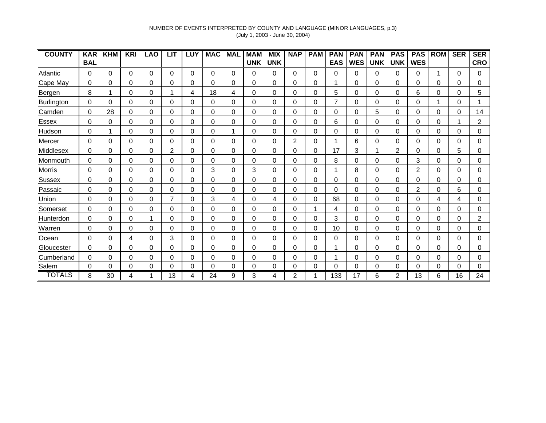## NUMBER OF EVENTS INTERPRETED BY COUNTY AND LANGUAGE (MINOR LANGUAGES, p.3) (July 1, 2003 - June 30, 2004)

| <b>COUNTY</b> | <b>KAR</b> | <b>KHM</b> | <b>KRI</b> | <b>LAO</b> | <b>LIT</b>     | LUY      | <b>MAC</b> | <b>MAL</b> | <b>MAM</b> | <b>MIX</b> | <b>NAP</b>     | <b>PAM</b> | <b>PAN</b> | <b>PAN</b>  | <b>PAN</b> | <b>PAS</b> | <b>PAS</b> | <b>ROM</b> | <b>SER</b> | <b>SER</b> |
|---------------|------------|------------|------------|------------|----------------|----------|------------|------------|------------|------------|----------------|------------|------------|-------------|------------|------------|------------|------------|------------|------------|
|               | <b>BAL</b> |            |            |            |                |          |            |            | <b>UNK</b> | <b>UNK</b> |                |            | <b>EAS</b> | <b>WES</b>  | <b>UNK</b> | <b>UNK</b> | <b>WES</b> |            |            | <b>CRO</b> |
| Atlantic      | 0          | 0          | $\Omega$   | 0          | 0              | $\Omega$ | 0          | 0          | 0          | 0          | 0              | 0          | 0          | 0           | 0          | 0          | 0          |            | $\Omega$   | 0          |
| Cape May      | 0          | 0          | 0          | 0          | 0              | 0        | 0          | 0          | 0          | 0          | $\mathbf 0$    | 0          |            | $\mathbf 0$ | 0          | 0          | 0          | 0          | 0          | $\Omega$   |
| Bergen        | 8          | 1          | 0          | 0          |                | 4        | 18         | 4          | 0          | 0          | $\mathbf 0$    | 0          | 5          | 0           | 0          | 0          | 6          | 0          | 0          | 5          |
| Burlington    | 0          | 0          | 0          | 0          | 0              | 0        | 0          | 0          | 0          | 0          | 0              | 0          |            | 0           | 0          | 0          | 0          | 1          | 0          |            |
| Camden        | 0          | 28         | 0          | 0          | 0              | 0        | 0          | 0          | 0          | 0          | $\mathbf 0$    | 0          | 0          | 0           | 5          | 0          | 0          | 0          | 0          | 14         |
| Essex         | 0          | 0          | $\Omega$   | 0          | 0              | 0        | 0          | 0          | 0          | 0          | 0              | 0          | 6          | 0           | 0          | 0          | 0          | 0          |            | 2          |
| Hudson        | 0          | 1          | $\Omega$   | 0          | 0              | 0        | 0          | 1          | 0          | 0          | 0              | 0          | 0          | 0           | 0          | 0          | 0          | 0          | 0          | 0          |
| Mercer        | 0          | 0          | 0          | 0          | $\Omega$       | $\Omega$ | 0          | $\Omega$   | 0          | 0          | $\overline{2}$ | 0          |            | 6           | 0          | 0          | 0          | 0          | 0          | 0          |
| Middlesex     | 0          | 0          | 0          | 0          | $\overline{2}$ | 0        | 0          | 0          | 0          | 0          | 0              | 0          | 17         | 3           |            | 2          | 0          | 0          | 5          | 0          |
| Monmouth      | 0          | 0          | $\Omega$   | 0          | 0              | 0        | 0          | 0          | 0          | 0          | $\mathbf 0$    | 0          | 8          | 0           | 0          | 0          | 3          | 0          | 0          | 0          |
| <b>Morris</b> | 0          | 0          | 0          | 0          | 0              | 0        | 3          | 0          | 3          | 0          | 0              | 0          |            | 8           | 0          | 0          | 2          | 0          | 0          | 0          |
| Sussex        | 0          | 0          | 0          | 0          | 0              | 0        | 0          | 0          | 0          | 0          | $\mathbf 0$    | 0          | 0          | 0           | 0          | 0          | 0          | 0          | 0          | 0          |
| Passaic       | 0          | 0          | 0          | 0          | 0              | 0        | 0          | 0          | 0          | 0          | 0              | 0          | 0          | 0           | 0          | 0          | 2          | 0          | 6          | 0          |
| Union         | 0          | 0          | $\Omega$   | 0          | 7              | 0        | 3          | 4          | 0          | 4          | $\Omega$       | 0          | 68         | 0           | 0          | 0          | $\Omega$   | 4          | 4          | 0          |
| Somerset      | 0          | 0          | $\Omega$   | 0          | 0              | 0        | 0          | $\Omega$   | $\Omega$   | 0          | $\Omega$       |            | 4          | $\Omega$    | 0          | $\Omega$   | $\Omega$   | 0          | $\Omega$   | 0          |
| Hunterdon     | 0          | 0          | 0          |            | $\mathbf 0$    | 0        | 0          | 0          | 0          | 0          | 0              | 0          | 3          | 0           | 0          | 0          | 0          | 0          | $\Omega$   | 2          |
| Warren        | 0          | 0          | 0          | 0          | 0              | 0        | 0          | 0          | 0          | 0          | $\mathbf 0$    | 0          | 10         | 0           | 0          | 0          | 0          | 0          | $\Omega$   | $\Omega$   |
| <b>Ocean</b>  | 0          | 0          | 4          | 0          | $\mathsf 3$    | 0        | 0          | 0          | 0          | 0          | 0              | 0          | 0          | 0           | 0          | 0          | 0          | 0          | 0          | 0          |
| Gloucester    | 0          | 0          | 0          | 0          | 0              | 0        | 0          | 0          | 0          | 0          | 0              | 0          |            | 0           | 0          | 0          | 0          | 0          | 0          | 0          |
| Cumberland    | 0          | 0          | 0          | 0          | 0              | 0        | 0          | 0          | 0          | 0          | 0              | 0          |            | 0           | 0          | 0          | 0          | 0          | 0          | 0          |
| Salem         | 0          | 0          | $\Omega$   | 0          | 0              | 0        | 0          | 0          | $\Omega$   | 0          | $\Omega$       | 0          | $\Omega$   | $\Omega$    | 0          | 0          | 0          | 0          | $\Omega$   | 0          |
| <b>TOTALS</b> | 8          | 30         | 4          |            | 13             | 4        | 24         | 9          | 3          | 4          | 2              |            | 133        | 17          | 6          | 2          | 13         | 6          | 16         | 24         |